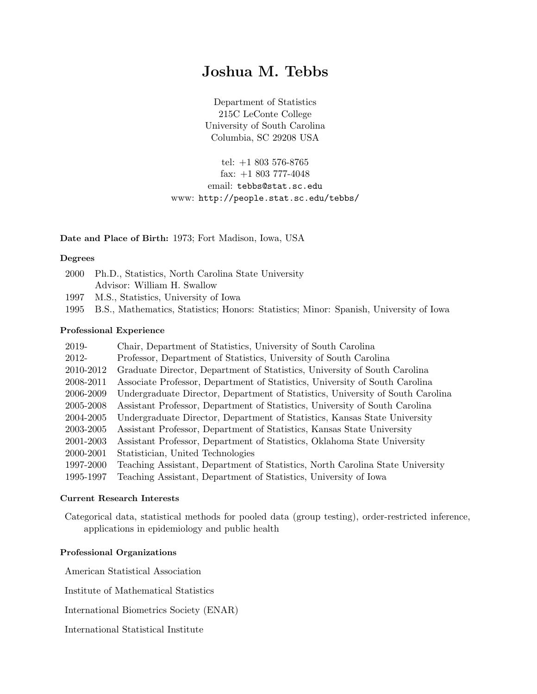# Joshua M. Tebbs

Department of Statistics 215C LeConte College University of South Carolina Columbia, SC 29208 USA

tel: +1 803 576-8765 fax: +1 803 777-4048 email: tebbs@stat.sc.edu www: http://people.stat.sc.edu/tebbs/

# Date and Place of Birth: 1973; Fort Madison, Iowa, USA

## Degrees

| 2000 Ph.D., Statistics, North Carolina State University |
|---------------------------------------------------------|
| Advisor: William H. Swallow                             |

- 1997 M.S., Statistics, University of Iowa
- 1995 B.S., Mathematics, Statistics; Honors: Statistics; Minor: Spanish, University of Iowa

#### Professional Experience

| 2019-     | Chair, Department of Statistics, University of South Carolina                  |
|-----------|--------------------------------------------------------------------------------|
| 2012-     | Professor, Department of Statistics, University of South Carolina              |
| 2010-2012 | Graduate Director, Department of Statistics, University of South Carolina      |
| 2008-2011 | Associate Professor, Department of Statistics, University of South Carolina    |
| 2006-2009 | Undergraduate Director, Department of Statistics, University of South Carolina |
| 2005-2008 | Assistant Professor, Department of Statistics, University of South Carolina    |
| 2004-2005 | Undergraduate Director, Department of Statistics, Kansas State University      |
| 2003-2005 | Assistant Professor, Department of Statistics, Kansas State University         |
| 2001-2003 | Assistant Professor, Department of Statistics, Oklahoma State University       |
| 2000-2001 | Statistician, United Technologies                                              |
| 1997-2000 | Teaching Assistant, Department of Statistics, North Carolina State University  |
| 1995-1997 | Teaching Assistant, Department of Statistics, University of Iowa               |

## Current Research Interests

Categorical data, statistical methods for pooled data (group testing), order-restricted inference, applications in epidemiology and public health

#### Professional Organizations

American Statistical Association

Institute of Mathematical Statistics

International Biometrics Society (ENAR)

International Statistical Institute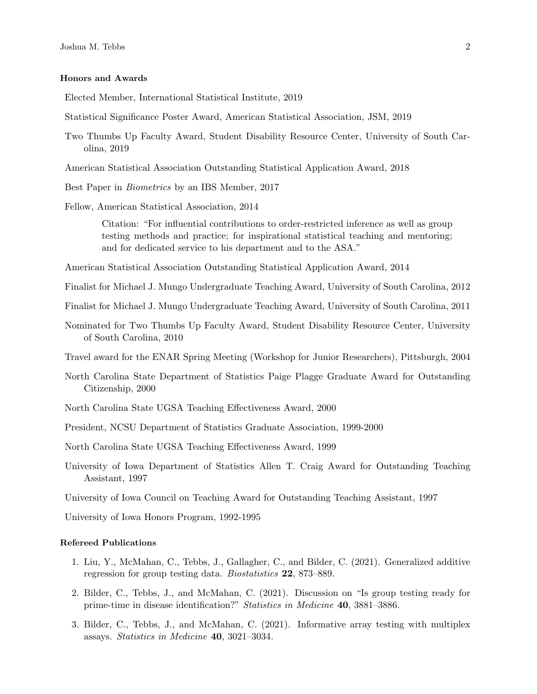#### Honors and Awards

Elected Member, International Statistical Institute, 2019

- Statistical Significance Poster Award, American Statistical Association, JSM, 2019
- Two Thumbs Up Faculty Award, Student Disability Resource Center, University of South Carolina, 2019
- American Statistical Association Outstanding Statistical Application Award, 2018
- Best Paper in Biometrics by an IBS Member, 2017
- Fellow, American Statistical Association, 2014

Citation: "For influential contributions to order-restricted inference as well as group testing methods and practice; for inspirational statistical teaching and mentoring; and for dedicated service to his department and to the ASA."

American Statistical Association Outstanding Statistical Application Award, 2014

Finalist for Michael J. Mungo Undergraduate Teaching Award, University of South Carolina, 2012

Finalist for Michael J. Mungo Undergraduate Teaching Award, University of South Carolina, 2011

Nominated for Two Thumbs Up Faculty Award, Student Disability Resource Center, University of South Carolina, 2010

Travel award for the ENAR Spring Meeting (Workshop for Junior Researchers), Pittsburgh, 2004

- North Carolina State Department of Statistics Paige Plagge Graduate Award for Outstanding Citizenship, 2000
- North Carolina State UGSA Teaching Effectiveness Award, 2000
- President, NCSU Department of Statistics Graduate Association, 1999-2000

North Carolina State UGSA Teaching Effectiveness Award, 1999

University of Iowa Department of Statistics Allen T. Craig Award for Outstanding Teaching Assistant, 1997

University of Iowa Council on Teaching Award for Outstanding Teaching Assistant, 1997

University of Iowa Honors Program, 1992-1995

#### Refereed Publications

- 1. Liu, Y., McMahan, C., Tebbs, J., Gallagher, C., and Bilder, C. (2021). Generalized additive regression for group testing data. Biostatistics 22, 873–889.
- 2. Bilder, C., Tebbs, J., and McMahan, C. (2021). Discussion on "Is group testing ready for prime-time in disease identification?" Statistics in Medicine 40, 3881–3886.
- 3. Bilder, C., Tebbs, J., and McMahan, C. (2021). Informative array testing with multiplex assays. Statistics in Medicine 40, 3021–3034.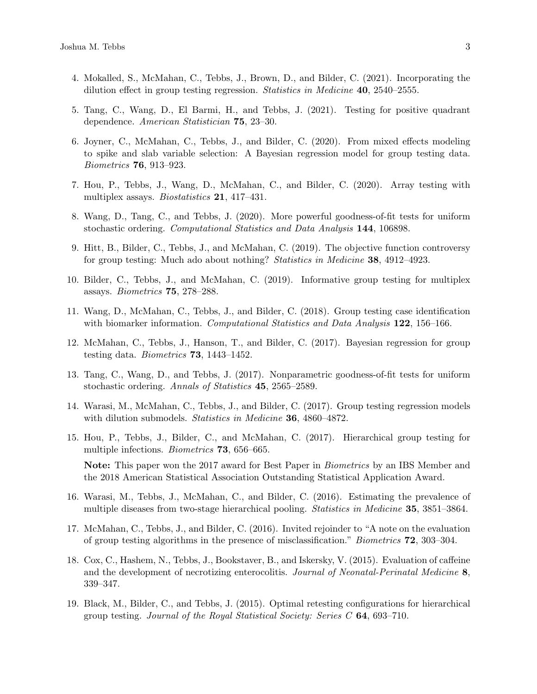- 4. Mokalled, S., McMahan, C., Tebbs, J., Brown, D., and Bilder, C. (2021). Incorporating the dilution effect in group testing regression. *Statistics in Medicine* **40**, 2540–2555.
- 5. Tang, C., Wang, D., El Barmi, H., and Tebbs, J. (2021). Testing for positive quadrant dependence. American Statistician 75, 23–30.
- 6. Joyner, C., McMahan, C., Tebbs, J., and Bilder, C. (2020). From mixed effects modeling to spike and slab variable selection: A Bayesian regression model for group testing data. Biometrics 76, 913–923.
- 7. Hou, P., Tebbs, J., Wang, D., McMahan, C., and Bilder, C. (2020). Array testing with multiplex assays. Biostatistics 21, 417–431.
- 8. Wang, D., Tang, C., and Tebbs, J. (2020). More powerful goodness-of-fit tests for uniform stochastic ordering. Computational Statistics and Data Analysis 144, 106898.
- 9. Hitt, B., Bilder, C., Tebbs, J., and McMahan, C. (2019). The objective function controversy for group testing: Much ado about nothing? Statistics in Medicine 38, 4912–4923.
- 10. Bilder, C., Tebbs, J., and McMahan, C. (2019). Informative group testing for multiplex assays. Biometrics 75, 278–288.
- 11. Wang, D., McMahan, C., Tebbs, J., and Bilder, C. (2018). Group testing case identification with biomarker information. Computational Statistics and Data Analysis  $122$ , 156–166.
- 12. McMahan, C., Tebbs, J., Hanson, T., and Bilder, C. (2017). Bayesian regression for group testing data. Biometrics 73, 1443–1452.
- 13. Tang, C., Wang, D., and Tebbs, J. (2017). Nonparametric goodness-of-fit tests for uniform stochastic ordering. Annals of Statistics 45, 2565–2589.
- 14. Warasi, M., McMahan, C., Tebbs, J., and Bilder, C. (2017). Group testing regression models with dilution submodels. Statistics in Medicine 36, 4860–4872.
- 15. Hou, P., Tebbs, J., Bilder, C., and McMahan, C. (2017). Hierarchical group testing for multiple infections. Biometrics 73, 656–665. Note: This paper won the 2017 award for Best Paper in Biometrics by an IBS Member and the 2018 American Statistical Association Outstanding Statistical Application Award.
- 16. Warasi, M., Tebbs, J., McMahan, C., and Bilder, C. (2016). Estimating the prevalence of multiple diseases from two-stage hierarchical pooling. Statistics in Medicine 35, 3851–3864.
- 17. McMahan, C., Tebbs, J., and Bilder, C. (2016). Invited rejoinder to "A note on the evaluation of group testing algorithms in the presence of misclassification." Biometrics 72, 303–304.
- 18. Cox, C., Hashem, N., Tebbs, J., Bookstaver, B., and Iskersky, V. (2015). Evaluation of caffeine and the development of necrotizing enterocolitis. Journal of Neonatal-Perinatal Medicine 8, 339–347.
- 19. Black, M., Bilder, C., and Tebbs, J. (2015). Optimal retesting configurations for hierarchical group testing. Journal of the Royal Statistical Society: Series  $C$  64, 693–710.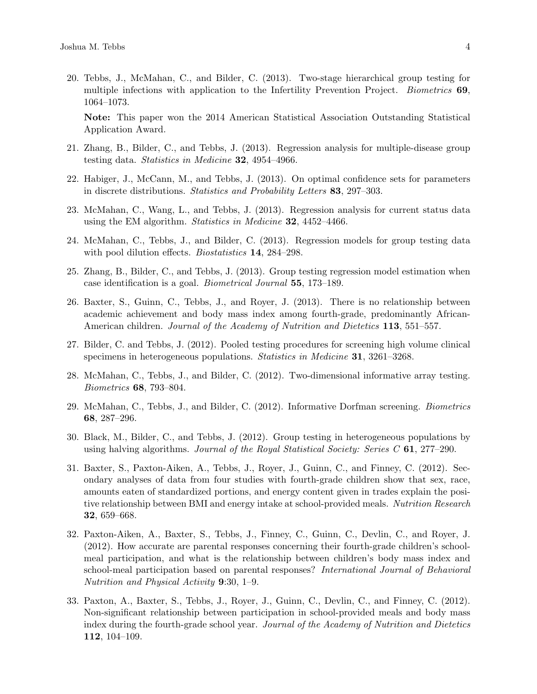20. Tebbs, J., McMahan, C., and Bilder, C. (2013). Two-stage hierarchical group testing for multiple infections with application to the Infertility Prevention Project. *Biometrics* 69, 1064–1073.

Note: This paper won the 2014 American Statistical Association Outstanding Statistical Application Award.

- 21. Zhang, B., Bilder, C., and Tebbs, J. (2013). Regression analysis for multiple-disease group testing data. Statistics in Medicine 32, 4954–4966.
- 22. Habiger, J., McCann, M., and Tebbs, J. (2013). On optimal confidence sets for parameters in discrete distributions. Statistics and Probability Letters 83, 297–303.
- 23. McMahan, C., Wang, L., and Tebbs, J. (2013). Regression analysis for current status data using the EM algorithm. Statistics in Medicine 32, 4452-4466.
- 24. McMahan, C., Tebbs, J., and Bilder, C. (2013). Regression models for group testing data with pool dilution effects. *Biostatistics* **14**, 284–298.
- 25. Zhang, B., Bilder, C., and Tebbs, J. (2013). Group testing regression model estimation when case identification is a goal. Biometrical Journal 55, 173–189.
- 26. Baxter, S., Guinn, C., Tebbs, J., and Royer, J. (2013). There is no relationship between academic achievement and body mass index among fourth-grade, predominantly African-American children. Journal of the Academy of Nutrition and Dietetics 113, 551–557.
- 27. Bilder, C. and Tebbs, J. (2012). Pooled testing procedures for screening high volume clinical specimens in heterogeneous populations. Statistics in Medicine 31, 3261–3268.
- 28. McMahan, C., Tebbs, J., and Bilder, C. (2012). Two-dimensional informative array testing. Biometrics 68, 793–804.
- 29. McMahan, C., Tebbs, J., and Bilder, C. (2012). Informative Dorfman screening. Biometrics 68, 287–296.
- 30. Black, M., Bilder, C., and Tebbs, J. (2012). Group testing in heterogeneous populations by using halving algorithms. Journal of the Royal Statistical Society: Series  $C$  61, 277–290.
- 31. Baxter, S., Paxton-Aiken, A., Tebbs, J., Royer, J., Guinn, C., and Finney, C. (2012). Secondary analyses of data from four studies with fourth-grade children show that sex, race, amounts eaten of standardized portions, and energy content given in trades explain the positive relationship between BMI and energy intake at school-provided meals. Nutrition Research 32, 659–668.
- 32. Paxton-Aiken, A., Baxter, S., Tebbs, J., Finney, C., Guinn, C., Devlin, C., and Royer, J. (2012). How accurate are parental responses concerning their fourth-grade children's schoolmeal participation, and what is the relationship between children's body mass index and school-meal participation based on parental responses? International Journal of Behavioral Nutrition and Physical Activity 9:30, 1–9.
- 33. Paxton, A., Baxter, S., Tebbs, J., Royer, J., Guinn, C., Devlin, C., and Finney, C. (2012). Non-significant relationship between participation in school-provided meals and body mass index during the fourth-grade school year. Journal of the Academy of Nutrition and Dietetics 112, 104–109.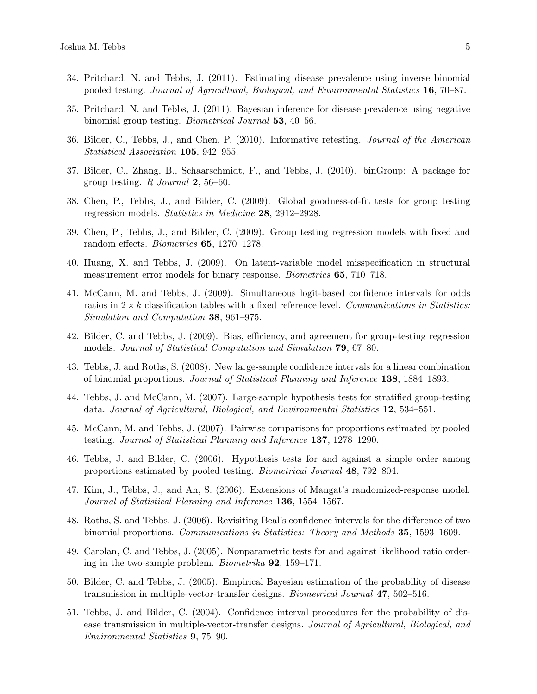- 34. Pritchard, N. and Tebbs, J. (2011). Estimating disease prevalence using inverse binomial pooled testing. Journal of Agricultural, Biological, and Environmental Statistics 16, 70–87.
- 35. Pritchard, N. and Tebbs, J. (2011). Bayesian inference for disease prevalence using negative binomial group testing. Biometrical Journal 53, 40–56.
- 36. Bilder, C., Tebbs, J., and Chen, P. (2010). Informative retesting. Journal of the American Statistical Association 105, 942–955.
- 37. Bilder, C., Zhang, B., Schaarschmidt, F., and Tebbs, J. (2010). binGroup: A package for group testing. R Journal 2, 56–60.
- 38. Chen, P., Tebbs, J., and Bilder, C. (2009). Global goodness-of-fit tests for group testing regression models. Statistics in Medicine 28, 2912–2928.
- 39. Chen, P., Tebbs, J., and Bilder, C. (2009). Group testing regression models with fixed and random effects. Biometrics 65, 1270–1278.
- 40. Huang, X. and Tebbs, J. (2009). On latent-variable model misspecification in structural measurement error models for binary response. *Biometrics* 65, 710–718.
- 41. McCann, M. and Tebbs, J. (2009). Simultaneous logit-based confidence intervals for odds ratios in  $2 \times k$  classification tables with a fixed reference level. Communications in Statistics: Simulation and Computation 38, 961–975.
- 42. Bilder, C. and Tebbs, J. (2009). Bias, efficiency, and agreement for group-testing regression models. Journal of Statistical Computation and Simulation 79, 67–80.
- 43. Tebbs, J. and Roths, S. (2008). New large-sample confidence intervals for a linear combination of binomial proportions. Journal of Statistical Planning and Inference 138, 1884–1893.
- 44. Tebbs, J. and McCann, M. (2007). Large-sample hypothesis tests for stratified group-testing data. Journal of Agricultural, Biological, and Environmental Statistics 12, 534–551.
- 45. McCann, M. and Tebbs, J. (2007). Pairwise comparisons for proportions estimated by pooled testing. Journal of Statistical Planning and Inference 137, 1278–1290.
- 46. Tebbs, J. and Bilder, C. (2006). Hypothesis tests for and against a simple order among proportions estimated by pooled testing. Biometrical Journal 48, 792–804.
- 47. Kim, J., Tebbs, J., and An, S. (2006). Extensions of Mangat's randomized-response model. Journal of Statistical Planning and Inference 136, 1554–1567.
- 48. Roths, S. and Tebbs, J. (2006). Revisiting Beal's confidence intervals for the difference of two binomial proportions. Communications in Statistics: Theory and Methods 35, 1593–1609.
- 49. Carolan, C. and Tebbs, J. (2005). Nonparametric tests for and against likelihood ratio ordering in the two-sample problem. Biometrika 92, 159–171.
- 50. Bilder, C. and Tebbs, J. (2005). Empirical Bayesian estimation of the probability of disease transmission in multiple-vector-transfer designs. Biometrical Journal 47, 502–516.
- 51. Tebbs, J. and Bilder, C. (2004). Confidence interval procedures for the probability of disease transmission in multiple-vector-transfer designs. Journal of Agricultural, Biological, and Environmental Statistics 9, 75–90.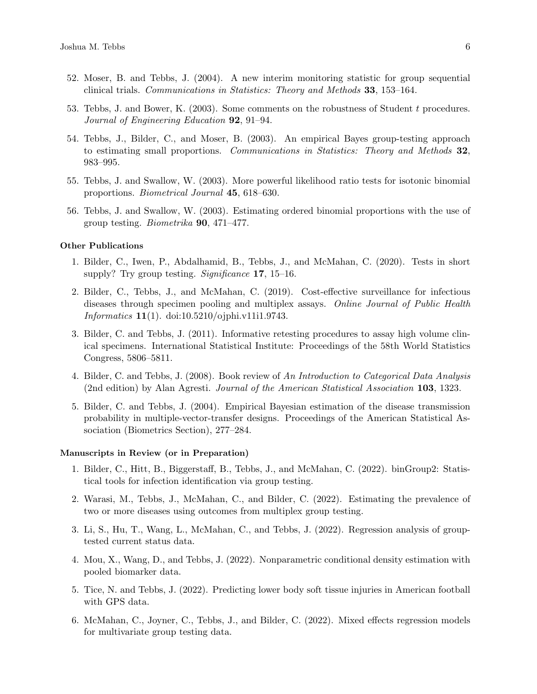- 52. Moser, B. and Tebbs, J. (2004). A new interim monitoring statistic for group sequential clinical trials. Communications in Statistics: Theory and Methods 33, 153–164.
- 53. Tebbs, J. and Bower, K. (2003). Some comments on the robustness of Student t procedures. Journal of Engineering Education 92, 91–94.
- 54. Tebbs, J., Bilder, C., and Moser, B. (2003). An empirical Bayes group-testing approach to estimating small proportions. Communications in Statistics: Theory and Methods 32, 983–995.
- 55. Tebbs, J. and Swallow, W. (2003). More powerful likelihood ratio tests for isotonic binomial proportions. Biometrical Journal 45, 618–630.
- 56. Tebbs, J. and Swallow, W. (2003). Estimating ordered binomial proportions with the use of group testing. Biometrika 90, 471–477.

## Other Publications

- 1. Bilder, C., Iwen, P., Abdalhamid, B., Tebbs, J., and McMahan, C. (2020). Tests in short supply? Try group testing. Significance 17, 15–16.
- 2. Bilder, C., Tebbs, J., and McMahan, C. (2019). Cost-effective surveillance for infectious diseases through specimen pooling and multiplex assays. Online Journal of Public Health Informatics 11(1). doi:10.5210/ojphi.v11i1.9743.
- 3. Bilder, C. and Tebbs, J. (2011). Informative retesting procedures to assay high volume clinical specimens. International Statistical Institute: Proceedings of the 58th World Statistics Congress, 5806–5811.
- 4. Bilder, C. and Tebbs, J. (2008). Book review of An Introduction to Categorical Data Analysis (2nd edition) by Alan Agresti. Journal of the American Statistical Association 103, 1323.
- 5. Bilder, C. and Tebbs, J. (2004). Empirical Bayesian estimation of the disease transmission probability in multiple-vector-transfer designs. Proceedings of the American Statistical Association (Biometrics Section), 277–284.

#### Manuscripts in Review (or in Preparation)

- 1. Bilder, C., Hitt, B., Biggerstaff, B., Tebbs, J., and McMahan, C. (2022). binGroup2: Statistical tools for infection identification via group testing.
- 2. Warasi, M., Tebbs, J., McMahan, C., and Bilder, C. (2022). Estimating the prevalence of two or more diseases using outcomes from multiplex group testing.
- 3. Li, S., Hu, T., Wang, L., McMahan, C., and Tebbs, J. (2022). Regression analysis of grouptested current status data.
- 4. Mou, X., Wang, D., and Tebbs, J. (2022). Nonparametric conditional density estimation with pooled biomarker data.
- 5. Tice, N. and Tebbs, J. (2022). Predicting lower body soft tissue injuries in American football with GPS data.
- 6. McMahan, C., Joyner, C., Tebbs, J., and Bilder, C. (2022). Mixed effects regression models for multivariate group testing data.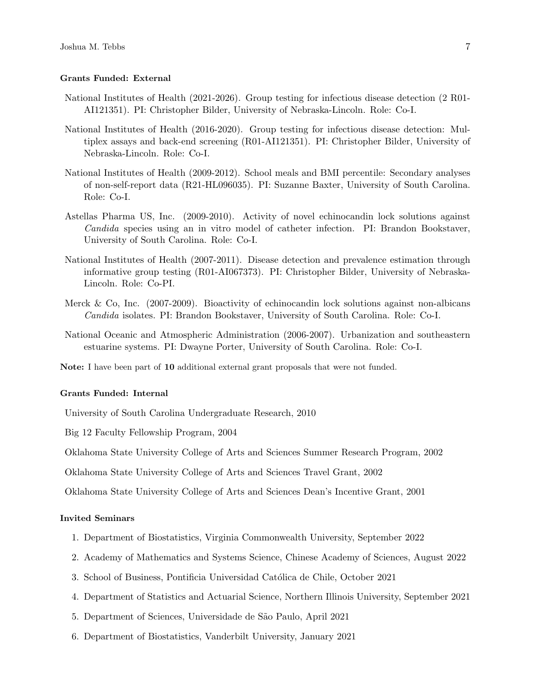#### Grants Funded: External

- National Institutes of Health (2021-2026). Group testing for infectious disease detection (2 R01- AI121351). PI: Christopher Bilder, University of Nebraska-Lincoln. Role: Co-I.
- National Institutes of Health (2016-2020). Group testing for infectious disease detection: Multiplex assays and back-end screening (R01-AI121351). PI: Christopher Bilder, University of Nebraska-Lincoln. Role: Co-I.
- National Institutes of Health (2009-2012). School meals and BMI percentile: Secondary analyses of non-self-report data (R21-HL096035). PI: Suzanne Baxter, University of South Carolina. Role: Co-I.
- Astellas Pharma US, Inc. (2009-2010). Activity of novel echinocandin lock solutions against Candida species using an in vitro model of catheter infection. PI: Brandon Bookstaver, University of South Carolina. Role: Co-I.
- National Institutes of Health (2007-2011). Disease detection and prevalence estimation through informative group testing (R01-AI067373). PI: Christopher Bilder, University of Nebraska-Lincoln. Role: Co-PI.
- Merck & Co, Inc. (2007-2009). Bioactivity of echinocandin lock solutions against non-albicans Candida isolates. PI: Brandon Bookstaver, University of South Carolina. Role: Co-I.
- National Oceanic and Atmospheric Administration (2006-2007). Urbanization and southeastern estuarine systems. PI: Dwayne Porter, University of South Carolina. Role: Co-I.

Note: I have been part of 10 additional external grant proposals that were not funded.

#### Grants Funded: Internal

University of South Carolina Undergraduate Research, 2010

Big 12 Faculty Fellowship Program, 2004

Oklahoma State University College of Arts and Sciences Summer Research Program, 2002

Oklahoma State University College of Arts and Sciences Travel Grant, 2002

Oklahoma State University College of Arts and Sciences Dean's Incentive Grant, 2001

#### Invited Seminars

- 1. Department of Biostatistics, Virginia Commonwealth University, September 2022
- 2. Academy of Mathematics and Systems Science, Chinese Academy of Sciences, August 2022
- 3. School of Business, Pontificia Universidad Católica de Chile, October 2021
- 4. Department of Statistics and Actuarial Science, Northern Illinois University, September 2021
- 5. Department of Sciences, Universidade de São Paulo, April 2021
- 6. Department of Biostatistics, Vanderbilt University, January 2021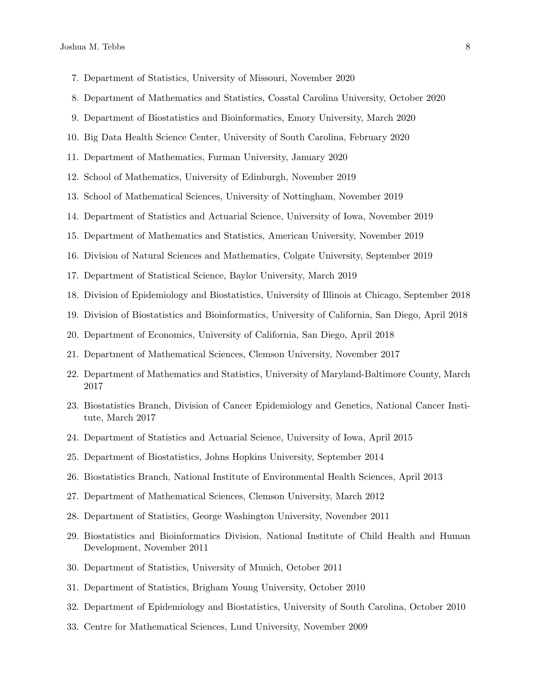- 7. Department of Statistics, University of Missouri, November 2020
- 8. Department of Mathematics and Statistics, Coastal Carolina University, October 2020
- 9. Department of Biostatistics and Bioinformatics, Emory University, March 2020
- 10. Big Data Health Science Center, University of South Carolina, February 2020
- 11. Department of Mathematics, Furman University, January 2020
- 12. School of Mathematics, University of Edinburgh, November 2019
- 13. School of Mathematical Sciences, University of Nottingham, November 2019
- 14. Department of Statistics and Actuarial Science, University of Iowa, November 2019
- 15. Department of Mathematics and Statistics, American University, November 2019
- 16. Division of Natural Sciences and Mathematics, Colgate University, September 2019
- 17. Department of Statistical Science, Baylor University, March 2019
- 18. Division of Epidemiology and Biostatistics, University of Illinois at Chicago, September 2018
- 19. Division of Biostatistics and Bioinformatics, University of California, San Diego, April 2018
- 20. Department of Economics, University of California, San Diego, April 2018
- 21. Department of Mathematical Sciences, Clemson University, November 2017
- 22. Department of Mathematics and Statistics, University of Maryland-Baltimore County, March 2017
- 23. Biostatistics Branch, Division of Cancer Epidemiology and Genetics, National Cancer Institute, March 2017
- 24. Department of Statistics and Actuarial Science, University of Iowa, April 2015
- 25. Department of Biostatistics, Johns Hopkins University, September 2014
- 26. Biostatistics Branch, National Institute of Environmental Health Sciences, April 2013
- 27. Department of Mathematical Sciences, Clemson University, March 2012
- 28. Department of Statistics, George Washington University, November 2011
- 29. Biostatistics and Bioinformatics Division, National Institute of Child Health and Human Development, November 2011
- 30. Department of Statistics, University of Munich, October 2011
- 31. Department of Statistics, Brigham Young University, October 2010
- 32. Department of Epidemiology and Biostatistics, University of South Carolina, October 2010
- 33. Centre for Mathematical Sciences, Lund University, November 2009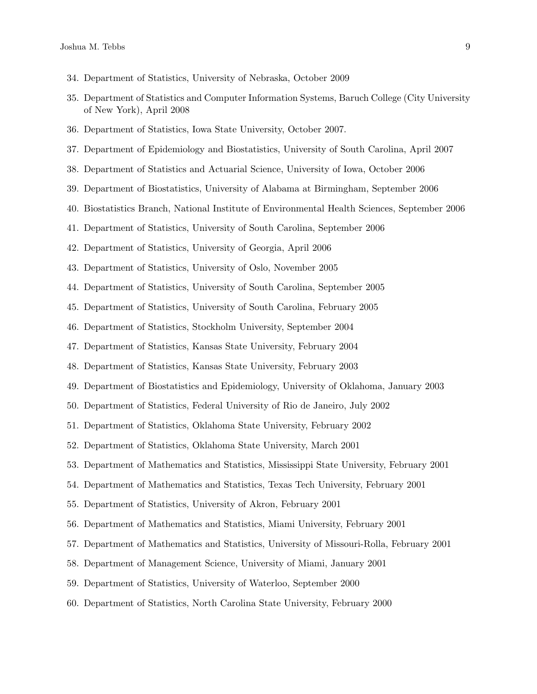- 34. Department of Statistics, University of Nebraska, October 2009
- 35. Department of Statistics and Computer Information Systems, Baruch College (City University of New York), April 2008
- 36. Department of Statistics, Iowa State University, October 2007.
- 37. Department of Epidemiology and Biostatistics, University of South Carolina, April 2007
- 38. Department of Statistics and Actuarial Science, University of Iowa, October 2006
- 39. Department of Biostatistics, University of Alabama at Birmingham, September 2006
- 40. Biostatistics Branch, National Institute of Environmental Health Sciences, September 2006
- 41. Department of Statistics, University of South Carolina, September 2006
- 42. Department of Statistics, University of Georgia, April 2006
- 43. Department of Statistics, University of Oslo, November 2005
- 44. Department of Statistics, University of South Carolina, September 2005
- 45. Department of Statistics, University of South Carolina, February 2005
- 46. Department of Statistics, Stockholm University, September 2004
- 47. Department of Statistics, Kansas State University, February 2004
- 48. Department of Statistics, Kansas State University, February 2003
- 49. Department of Biostatistics and Epidemiology, University of Oklahoma, January 2003
- 50. Department of Statistics, Federal University of Rio de Janeiro, July 2002
- 51. Department of Statistics, Oklahoma State University, February 2002
- 52. Department of Statistics, Oklahoma State University, March 2001
- 53. Department of Mathematics and Statistics, Mississippi State University, February 2001
- 54. Department of Mathematics and Statistics, Texas Tech University, February 2001
- 55. Department of Statistics, University of Akron, February 2001
- 56. Department of Mathematics and Statistics, Miami University, February 2001
- 57. Department of Mathematics and Statistics, University of Missouri-Rolla, February 2001
- 58. Department of Management Science, University of Miami, January 2001
- 59. Department of Statistics, University of Waterloo, September 2000
- 60. Department of Statistics, North Carolina State University, February 2000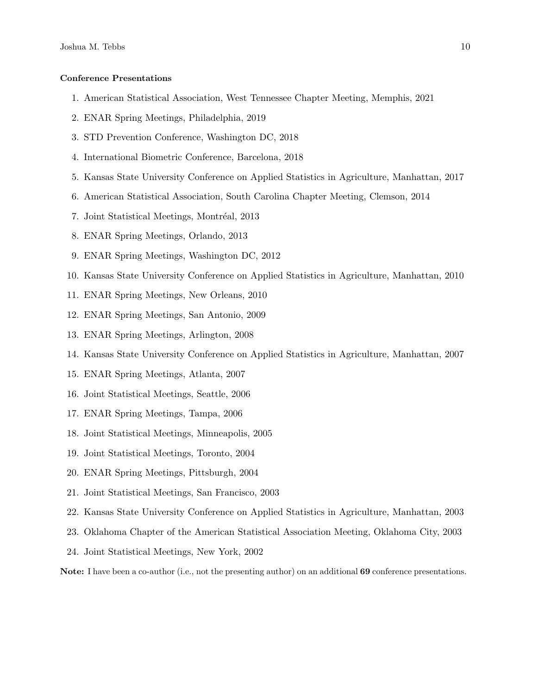#### Conference Presentations

- 1. American Statistical Association, West Tennessee Chapter Meeting, Memphis, 2021
- 2. ENAR Spring Meetings, Philadelphia, 2019
- 3. STD Prevention Conference, Washington DC, 2018
- 4. International Biometric Conference, Barcelona, 2018
- 5. Kansas State University Conference on Applied Statistics in Agriculture, Manhattan, 2017
- 6. American Statistical Association, South Carolina Chapter Meeting, Clemson, 2014
- 7. Joint Statistical Meetings, Montréal, 2013
- 8. ENAR Spring Meetings, Orlando, 2013
- 9. ENAR Spring Meetings, Washington DC, 2012
- 10. Kansas State University Conference on Applied Statistics in Agriculture, Manhattan, 2010
- 11. ENAR Spring Meetings, New Orleans, 2010
- 12. ENAR Spring Meetings, San Antonio, 2009
- 13. ENAR Spring Meetings, Arlington, 2008
- 14. Kansas State University Conference on Applied Statistics in Agriculture, Manhattan, 2007
- 15. ENAR Spring Meetings, Atlanta, 2007
- 16. Joint Statistical Meetings, Seattle, 2006
- 17. ENAR Spring Meetings, Tampa, 2006
- 18. Joint Statistical Meetings, Minneapolis, 2005
- 19. Joint Statistical Meetings, Toronto, 2004
- 20. ENAR Spring Meetings, Pittsburgh, 2004
- 21. Joint Statistical Meetings, San Francisco, 2003
- 22. Kansas State University Conference on Applied Statistics in Agriculture, Manhattan, 2003
- 23. Oklahoma Chapter of the American Statistical Association Meeting, Oklahoma City, 2003
- 24. Joint Statistical Meetings, New York, 2002

Note: I have been a co-author (i.e., not the presenting author) on an additional 69 conference presentations.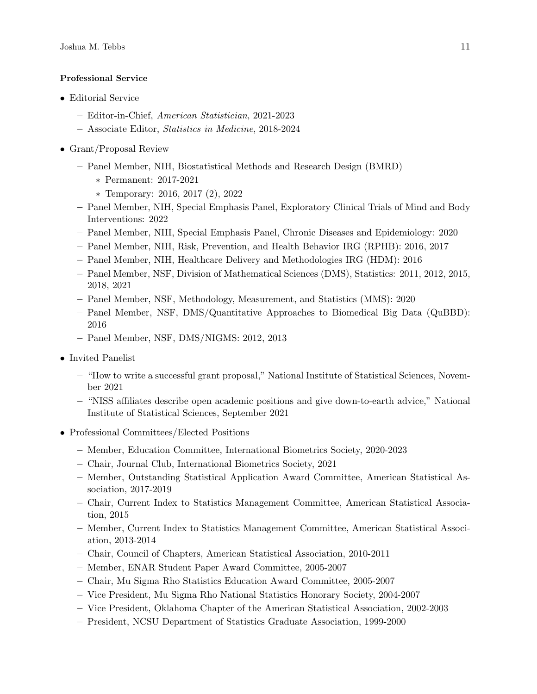## Professional Service

- Editorial Service
	- Editor-in-Chief, American Statistician, 2021-2023
	- Associate Editor, Statistics in Medicine, 2018-2024
- Grant/Proposal Review
	- Panel Member, NIH, Biostatistical Methods and Research Design (BMRD)
		- ∗ Permanent: 2017-2021
		- ∗ Temporary: 2016, 2017 (2), 2022
	- Panel Member, NIH, Special Emphasis Panel, Exploratory Clinical Trials of Mind and Body Interventions: 2022
	- Panel Member, NIH, Special Emphasis Panel, Chronic Diseases and Epidemiology: 2020
	- Panel Member, NIH, Risk, Prevention, and Health Behavior IRG (RPHB): 2016, 2017
	- Panel Member, NIH, Healthcare Delivery and Methodologies IRG (HDM): 2016
	- Panel Member, NSF, Division of Mathematical Sciences (DMS), Statistics: 2011, 2012, 2015, 2018, 2021
	- Panel Member, NSF, Methodology, Measurement, and Statistics (MMS): 2020
	- Panel Member, NSF, DMS/Quantitative Approaches to Biomedical Big Data (QuBBD): 2016
	- Panel Member, NSF, DMS/NIGMS: 2012, 2013
- Invited Panelist
	- "How to write a successful grant proposal," National Institute of Statistical Sciences, November 2021
	- "NISS affiliates describe open academic positions and give down-to-earth advice," National Institute of Statistical Sciences, September 2021
- Professional Committees/Elected Positions
	- Member, Education Committee, International Biometrics Society, 2020-2023
	- Chair, Journal Club, International Biometrics Society, 2021
	- Member, Outstanding Statistical Application Award Committee, American Statistical Association, 2017-2019
	- Chair, Current Index to Statistics Management Committee, American Statistical Association, 2015
	- Member, Current Index to Statistics Management Committee, American Statistical Association, 2013-2014
	- Chair, Council of Chapters, American Statistical Association, 2010-2011
	- Member, ENAR Student Paper Award Committee, 2005-2007
	- Chair, Mu Sigma Rho Statistics Education Award Committee, 2005-2007
	- Vice President, Mu Sigma Rho National Statistics Honorary Society, 2004-2007
	- Vice President, Oklahoma Chapter of the American Statistical Association, 2002-2003
	- President, NCSU Department of Statistics Graduate Association, 1999-2000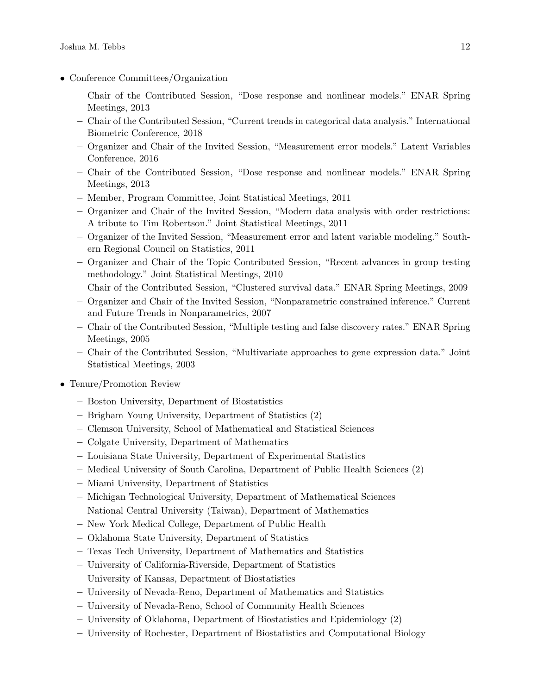- Conference Committees/Organization
	- Chair of the Contributed Session, "Dose response and nonlinear models." ENAR Spring Meetings, 2013
	- Chair of the Contributed Session, "Current trends in categorical data analysis." International Biometric Conference, 2018
	- Organizer and Chair of the Invited Session, "Measurement error models." Latent Variables Conference, 2016
	- Chair of the Contributed Session, "Dose response and nonlinear models." ENAR Spring Meetings, 2013
	- Member, Program Committee, Joint Statistical Meetings, 2011
	- Organizer and Chair of the Invited Session, "Modern data analysis with order restrictions: A tribute to Tim Robertson." Joint Statistical Meetings, 2011
	- Organizer of the Invited Session, "Measurement error and latent variable modeling." Southern Regional Council on Statistics, 2011
	- Organizer and Chair of the Topic Contributed Session, "Recent advances in group testing methodology." Joint Statistical Meetings, 2010
	- Chair of the Contributed Session, "Clustered survival data." ENAR Spring Meetings, 2009
	- Organizer and Chair of the Invited Session, "Nonparametric constrained inference." Current and Future Trends in Nonparametrics, 2007
	- Chair of the Contributed Session, "Multiple testing and false discovery rates." ENAR Spring Meetings, 2005
	- Chair of the Contributed Session, "Multivariate approaches to gene expression data." Joint Statistical Meetings, 2003
- Tenure/Promotion Review
	- Boston University, Department of Biostatistics
	- Brigham Young University, Department of Statistics (2)
	- Clemson University, School of Mathematical and Statistical Sciences
	- Colgate University, Department of Mathematics
	- Louisiana State University, Department of Experimental Statistics
	- Medical University of South Carolina, Department of Public Health Sciences (2)
	- Miami University, Department of Statistics
	- Michigan Technological University, Department of Mathematical Sciences
	- National Central University (Taiwan), Department of Mathematics
	- New York Medical College, Department of Public Health
	- Oklahoma State University, Department of Statistics
	- Texas Tech University, Department of Mathematics and Statistics
	- University of California-Riverside, Department of Statistics
	- University of Kansas, Department of Biostatistics
	- University of Nevada-Reno, Department of Mathematics and Statistics
	- University of Nevada-Reno, School of Community Health Sciences
	- University of Oklahoma, Department of Biostatistics and Epidemiology (2)
	- University of Rochester, Department of Biostatistics and Computational Biology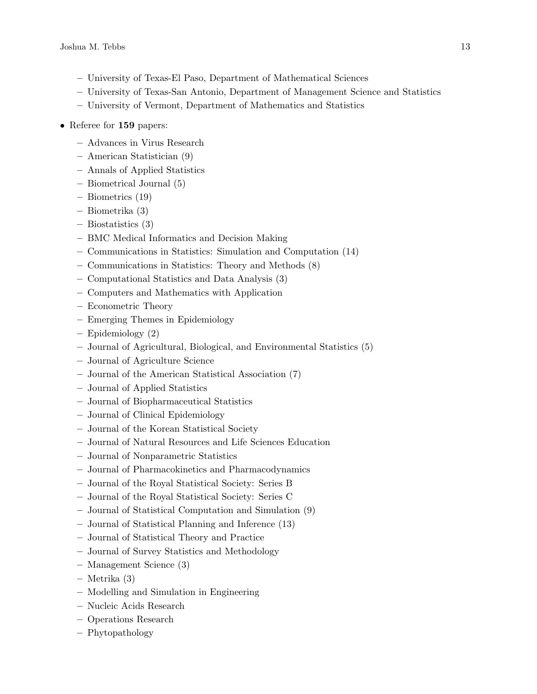- University of Texas-El Paso, Department of Mathematical Sciences
- University of Texas-San Antonio, Department of Management Science and Statistics
- University of Vermont, Department of Mathematics and Statistics
- Referee for 159 papers:
	- Advances in Virus Research
	- American Statistician (9)
	- Annals of Applied Statistics
	- Biometrical Journal (5)
	- Biometrics (19)
	- Biometrika (3)
	- Biostatistics (3)
	- BMC Medical Informatics and Decision Making
	- Communications in Statistics: Simulation and Computation (14)
	- Communications in Statistics: Theory and Methods (8)
	- Computational Statistics and Data Analysis (3)
	- Computers and Mathematics with Application
	- Econometric Theory
	- Emerging Themes in Epidemiology
	- Epidemiology (2)
	- Journal of Agricultural, Biological, and Environmental Statistics (5)
	- Journal of Agriculture Science
	- Journal of the American Statistical Association (7)
	- Journal of Applied Statistics
	- Journal of Biopharmaceutical Statistics
	- Journal of Clinical Epidemiology
	- Journal of the Korean Statistical Society
	- Journal of Natural Resources and Life Sciences Education
	- Journal of Nonparametric Statistics
	- Journal of Pharmacokinetics and Pharmacodynamics
	- Journal of the Royal Statistical Society: Series B
	- Journal of the Royal Statistical Society: Series C
	- Journal of Statistical Computation and Simulation (9)
	- Journal of Statistical Planning and Inference (13)
	- Journal of Statistical Theory and Practice
	- Journal of Survey Statistics and Methodology
	- Management Science (3)
	- Metrika (3)
	- Modelling and Simulation in Engineering
	- Nucleic Acids Research
	- Operations Research
	- Phytopathology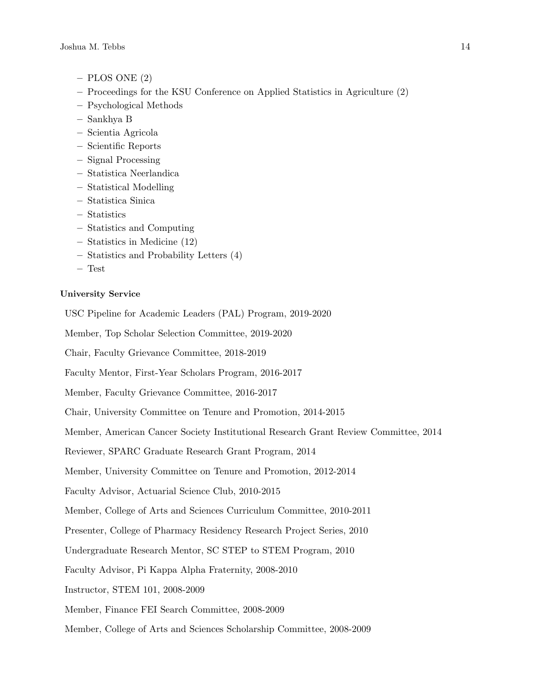- $-$  PLOS ONE  $(2)$
- Proceedings for the KSU Conference on Applied Statistics in Agriculture (2)
- Psychological Methods
- Sankhya B
- Scientia Agricola
- Scientific Reports
- Signal Processing
- Statistica Neerlandica
- Statistical Modelling
- Statistica Sinica
- Statistics
- Statistics and Computing
- Statistics in Medicine (12)
- Statistics and Probability Letters (4)
- Test

# University Service

USC Pipeline for Academic Leaders (PAL) Program, 2019-2020

Member, Top Scholar Selection Committee, 2019-2020

Chair, Faculty Grievance Committee, 2018-2019

Faculty Mentor, First-Year Scholars Program, 2016-2017

Member, Faculty Grievance Committee, 2016-2017

Chair, University Committee on Tenure and Promotion, 2014-2015

Member, American Cancer Society Institutional Research Grant Review Committee, 2014

Reviewer, SPARC Graduate Research Grant Program, 2014

Member, University Committee on Tenure and Promotion, 2012-2014

Faculty Advisor, Actuarial Science Club, 2010-2015

Member, College of Arts and Sciences Curriculum Committee, 2010-2011

Presenter, College of Pharmacy Residency Research Project Series, 2010

Undergraduate Research Mentor, SC STEP to STEM Program, 2010

Faculty Advisor, Pi Kappa Alpha Fraternity, 2008-2010

Instructor, STEM 101, 2008-2009

Member, Finance FEI Search Committee, 2008-2009

Member, College of Arts and Sciences Scholarship Committee, 2008-2009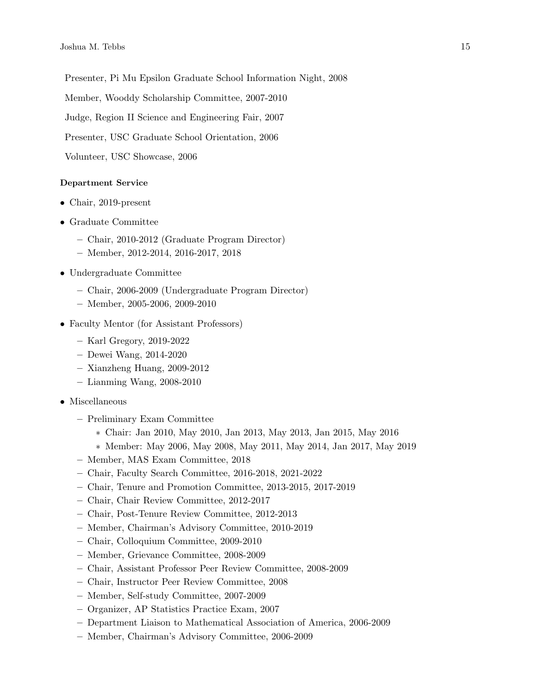Presenter, Pi Mu Epsilon Graduate School Information Night, 2008

Member, Wooddy Scholarship Committee, 2007-2010

Judge, Region II Science and Engineering Fair, 2007

Presenter, USC Graduate School Orientation, 2006

Volunteer, USC Showcase, 2006

# Department Service

- Chair, 2019-present
- Graduate Committee
	- Chair, 2010-2012 (Graduate Program Director)
	- Member, 2012-2014, 2016-2017, 2018
- Undergraduate Committee
	- Chair, 2006-2009 (Undergraduate Program Director)
	- Member, 2005-2006, 2009-2010
- Faculty Mentor (for Assistant Professors)
	- Karl Gregory, 2019-2022
	- Dewei Wang, 2014-2020
	- Xianzheng Huang, 2009-2012
	- Lianming Wang, 2008-2010
- Miscellaneous
	- Preliminary Exam Committee
		- ∗ Chair: Jan 2010, May 2010, Jan 2013, May 2013, Jan 2015, May 2016
		- ∗ Member: May 2006, May 2008, May 2011, May 2014, Jan 2017, May 2019
	- Member, MAS Exam Committee, 2018
	- Chair, Faculty Search Committee, 2016-2018, 2021-2022
	- Chair, Tenure and Promotion Committee, 2013-2015, 2017-2019
	- Chair, Chair Review Committee, 2012-2017
	- Chair, Post-Tenure Review Committee, 2012-2013
	- Member, Chairman's Advisory Committee, 2010-2019
	- Chair, Colloquium Committee, 2009-2010
	- Member, Grievance Committee, 2008-2009
	- Chair, Assistant Professor Peer Review Committee, 2008-2009
	- Chair, Instructor Peer Review Committee, 2008
	- Member, Self-study Committee, 2007-2009
	- Organizer, AP Statistics Practice Exam, 2007
	- Department Liaison to Mathematical Association of America, 2006-2009
	- Member, Chairman's Advisory Committee, 2006-2009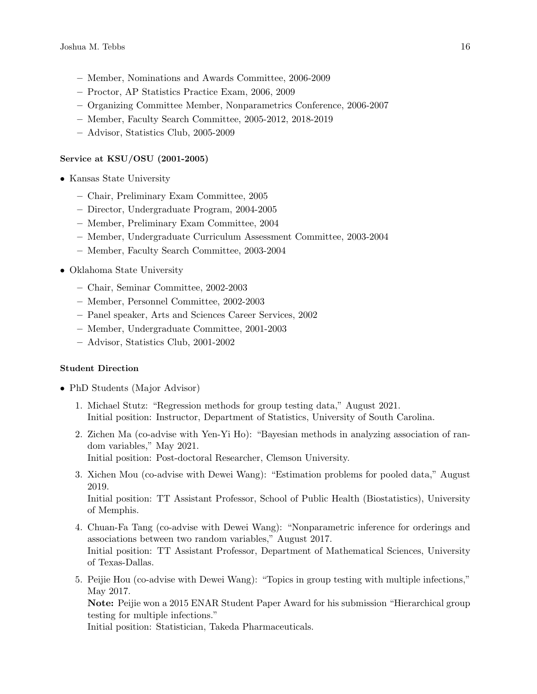- Member, Nominations and Awards Committee, 2006-2009
- Proctor, AP Statistics Practice Exam, 2006, 2009
- Organizing Committee Member, Nonparametrics Conference, 2006-2007
- Member, Faculty Search Committee, 2005-2012, 2018-2019
- Advisor, Statistics Club, 2005-2009

## Service at KSU/OSU (2001-2005)

- Kansas State University
	- Chair, Preliminary Exam Committee, 2005
	- Director, Undergraduate Program, 2004-2005
	- Member, Preliminary Exam Committee, 2004
	- Member, Undergraduate Curriculum Assessment Committee, 2003-2004
	- Member, Faculty Search Committee, 2003-2004
- Oklahoma State University
	- Chair, Seminar Committee, 2002-2003
	- Member, Personnel Committee, 2002-2003
	- Panel speaker, Arts and Sciences Career Services, 2002
	- Member, Undergraduate Committee, 2001-2003
	- Advisor, Statistics Club, 2001-2002

## Student Direction

- PhD Students (Major Advisor)
	- 1. Michael Stutz: "Regression methods for group testing data," August 2021. Initial position: Instructor, Department of Statistics, University of South Carolina.
	- 2. Zichen Ma (co-advise with Yen-Yi Ho): "Bayesian methods in analyzing association of random variables," May 2021. Initial position: Post-doctoral Researcher, Clemson University.
	- 3. Xichen Mou (co-advise with Dewei Wang): "Estimation problems for pooled data," August 2019. Initial position: TT Assistant Professor, School of Public Health (Biostatistics), University of Memphis.
	- 4. Chuan-Fa Tang (co-advise with Dewei Wang): "Nonparametric inference for orderings and associations between two random variables," August 2017. Initial position: TT Assistant Professor, Department of Mathematical Sciences, University of Texas-Dallas.
	- 5. Peijie Hou (co-advise with Dewei Wang): "Topics in group testing with multiple infections," May 2017.

Note: Peijie won a 2015 ENAR Student Paper Award for his submission "Hierarchical group testing for multiple infections."

Initial position: Statistician, Takeda Pharmaceuticals.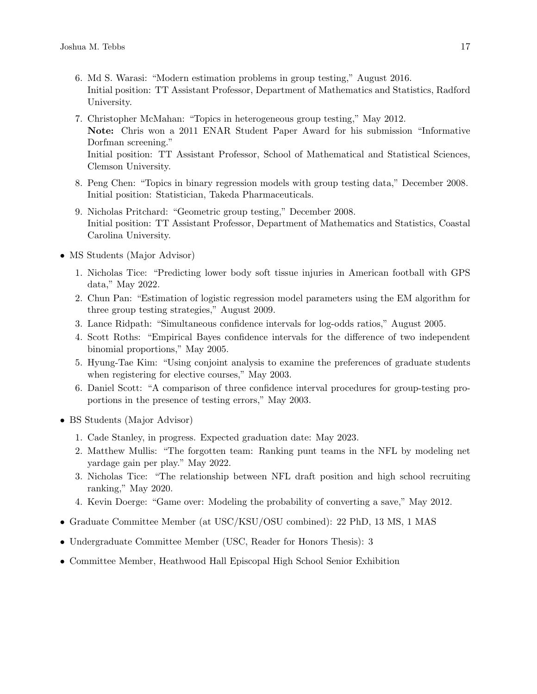- 6. Md S. Warasi: "Modern estimation problems in group testing," August 2016. Initial position: TT Assistant Professor, Department of Mathematics and Statistics, Radford University.
- 7. Christopher McMahan: "Topics in heterogeneous group testing," May 2012. Note: Chris won a 2011 ENAR Student Paper Award for his submission "Informative Dorfman screening." Initial position: TT Assistant Professor, School of Mathematical and Statistical Sciences, Clemson University.
- 8. Peng Chen: "Topics in binary regression models with group testing data," December 2008. Initial position: Statistician, Takeda Pharmaceuticals.
- 9. Nicholas Pritchard: "Geometric group testing," December 2008. Initial position: TT Assistant Professor, Department of Mathematics and Statistics, Coastal Carolina University.
- MS Students (Major Advisor)
	- 1. Nicholas Tice: "Predicting lower body soft tissue injuries in American football with GPS data," May 2022.
	- 2. Chun Pan: "Estimation of logistic regression model parameters using the EM algorithm for three group testing strategies," August 2009.
	- 3. Lance Ridpath: "Simultaneous confidence intervals for log-odds ratios," August 2005.
	- 4. Scott Roths: "Empirical Bayes confidence intervals for the difference of two independent binomial proportions," May 2005.
	- 5. Hyung-Tae Kim: "Using conjoint analysis to examine the preferences of graduate students when registering for elective courses," May 2003.
	- 6. Daniel Scott: "A comparison of three confidence interval procedures for group-testing proportions in the presence of testing errors," May 2003.
- BS Students (Major Advisor)
	- 1. Cade Stanley, in progress. Expected graduation date: May 2023.
	- 2. Matthew Mullis: "The forgotten team: Ranking punt teams in the NFL by modeling net yardage gain per play." May 2022.
	- 3. Nicholas Tice: "The relationship between NFL draft position and high school recruiting ranking," May 2020.
	- 4. Kevin Doerge: "Game over: Modeling the probability of converting a save," May 2012.
- Graduate Committee Member (at USC/KSU/OSU combined): 22 PhD, 13 MS, 1 MAS
- Undergraduate Committee Member (USC, Reader for Honors Thesis): 3
- Committee Member, Heathwood Hall Episcopal High School Senior Exhibition